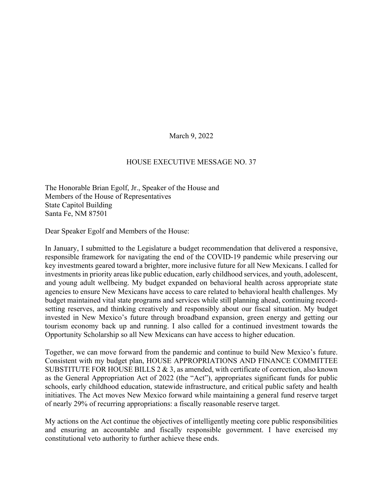March 9, 2022

## HOUSE EXECUTIVE MESSAGE NO. 37

The Honorable Brian Egolf, Jr., Speaker of the House and Members of the House of Representatives State Capitol Building Santa Fe, NM 87501

Dear Speaker Egolf and Members of the House:

In January, I submitted to the Legislature a budget recommendation that delivered a responsive, responsible framework for navigating the end of the COVID-19 pandemic while preserving our key investments geared toward a brighter, more inclusive future for all New Mexicans. I called for investments in priority areas like public education, early childhood services, and youth, adolescent, and young adult wellbeing. My budget expanded on behavioral health across appropriate state agencies to ensure New Mexicans have access to care related to behavioral health challenges. My budget maintained vital state programs and services while still planning ahead, continuing recordsetting reserves, and thinking creatively and responsibly about our fiscal situation. My budget invested in New Mexico's future through broadband expansion, green energy and getting our tourism economy back up and running. I also called for a continued investment towards the Opportunity Scholarship so all New Mexicans can have access to higher education.

Together, we can move forward from the pandemic and continue to build New Mexico's future. Consistent with my budget plan, HOUSE APPROPRIATIONS AND FINANCE COMMITTEE SUBSTITUTE FOR HOUSE BILLS  $2 \& 3$ , as amended, with certificate of correction, also known as the General Appropriation Act of 2022 (the "Act"), appropriates significant funds for public schools, early childhood education, statewide infrastructure, and critical public safety and health initiatives. The Act moves New Mexico forward while maintaining a general fund reserve target of nearly 29% of recurring appropriations: a fiscally reasonable reserve target.

My actions on the Act continue the objectives of intelligently meeting core public responsibilities and ensuring an accountable and fiscally responsible government. I have exercised my constitutional veto authority to further achieve these ends.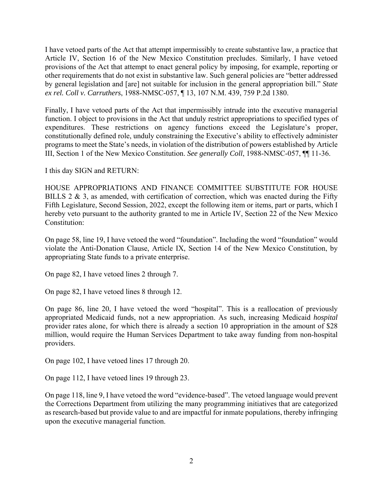I have vetoed parts of the Act that attempt impermissibly to create substantive law, a practice that Article IV, Section 16 of the New Mexico Constitution precludes. Similarly, I have vetoed provisions of the Act that attempt to enact general policy by imposing, for example, reporting or other requirements that do not exist in substantive law. Such general policies are "better addressed by general legislation and [are] not suitable for inclusion in the general appropriation bill." *State ex rel. Coll v. Carruthers*, 1988-NMSC-057, ¶ 13, 107 N.M. 439, 759 P.2d 1380.

Finally, I have vetoed parts of the Act that impermissibly intrude into the executive managerial function. I object to provisions in the Act that unduly restrict appropriations to specified types of expenditures. These restrictions on agency functions exceed the Legislature's proper, constitutionally defined role, unduly constraining the Executive's ability to effectively administer programs to meet the State's needs, in violation of the distribution of powers established by Article III, Section 1 of the New Mexico Constitution. *See generally Coll*, 1988-NMSC-057, ¶¶ 11-36.

I this day SIGN and RETURN:

HOUSE APPROPRIATIONS AND FINANCE COMMITTEE SUBSTITUTE FOR HOUSE BILLS 2  $\&$  3, as amended, with certification of correction, which was enacted during the Fifty Fifth Legislature, Second Session, 2022, except the following item or items, part or parts, which I hereby veto pursuant to the authority granted to me in Article IV, Section 22 of the New Mexico Constitution:

On page 58, line 19, I have vetoed the word "foundation". Including the word "foundation" would violate the Anti-Donation Clause, Article IX, Section 14 of the New Mexico Constitution, by appropriating State funds to a private enterprise.

On page 82, I have vetoed lines 2 through 7.

On page 82, I have vetoed lines 8 through 12.

On page 86, line 20, I have vetoed the word "hospital". This is a reallocation of previously appropriated Medicaid funds, not a new appropriation. As such, increasing Medicaid *hospital* provider rates alone, for which there is already a section 10 appropriation in the amount of \$28 million, would require the Human Services Department to take away funding from non-hospital providers.

On page 102, I have vetoed lines 17 through 20.

On page 112, I have vetoed lines 19 through 23.

On page 118, line 9, I have vetoed the word "evidence-based". The vetoed language would prevent the Corrections Department from utilizing the many programming initiatives that are categorized as research-based but provide value to and are impactful for inmate populations, thereby infringing upon the executive managerial function.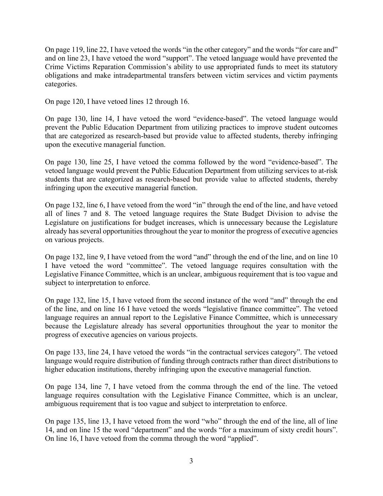On page 119, line 22, I have vetoed the words "in the other category" and the words "for care and" and on line 23, I have vetoed the word "support". The vetoed language would have prevented the Crime Victims Reparation Commission's ability to use appropriated funds to meet its statutory obligations and make intradepartmental transfers between victim services and victim payments categories.

On page 120, I have vetoed lines 12 through 16.

On page 130, line 14, I have vetoed the word "evidence-based". The vetoed language would prevent the Public Education Department from utilizing practices to improve student outcomes that are categorized as research-based but provide value to affected students, thereby infringing upon the executive managerial function.

On page 130, line 25, I have vetoed the comma followed by the word "evidence-based". The vetoed language would prevent the Public Education Department from utilizing services to at-risk students that are categorized as research-based but provide value to affected students, thereby infringing upon the executive managerial function.

On page 132, line 6, I have vetoed from the word "in" through the end of the line, and have vetoed all of lines 7 and 8. The vetoed language requires the State Budget Division to advise the Legislature on justifications for budget increases, which is unnecessary because the Legislature already has several opportunities throughout the year to monitor the progress of executive agencies on various projects.

On page 132, line 9, I have vetoed from the word "and" through the end of the line, and on line 10 I have vetoed the word "committee". The vetoed language requires consultation with the Legislative Finance Committee, which is an unclear, ambiguous requirement that is too vague and subject to interpretation to enforce.

On page 132, line 15, I have vetoed from the second instance of the word "and" through the end of the line, and on line 16 I have vetoed the words "legislative finance committee". The vetoed language requires an annual report to the Legislative Finance Committee, which is unnecessary because the Legislature already has several opportunities throughout the year to monitor the progress of executive agencies on various projects.

On page 133, line 24, I have vetoed the words "in the contractual services category". The vetoed language would require distribution of funding through contracts rather than direct distributions to higher education institutions, thereby infringing upon the executive managerial function.

On page 134, line 7, I have vetoed from the comma through the end of the line. The vetoed language requires consultation with the Legislative Finance Committee, which is an unclear, ambiguous requirement that is too vague and subject to interpretation to enforce.

On page 135, line 13, I have vetoed from the word "who" through the end of the line, all of line 14, and on line 15 the word "department" and the words "for a maximum of sixty credit hours". On line 16, I have vetoed from the comma through the word "applied".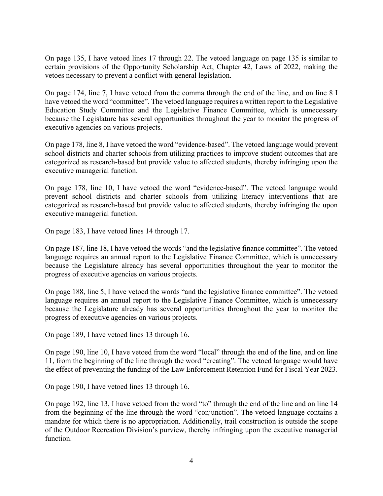On page 135, I have vetoed lines 17 through 22. The vetoed language on page 135 is similar to certain provisions of the Opportunity Scholarship Act, Chapter 42, Laws of 2022, making the vetoes necessary to prevent a conflict with general legislation.

On page 174, line 7, I have vetoed from the comma through the end of the line, and on line 8 I have vetoed the word "committee". The vetoed language requires a written report to the Legislative Education Study Committee and the Legislative Finance Committee, which is unnecessary because the Legislature has several opportunities throughout the year to monitor the progress of executive agencies on various projects.

On page 178, line 8, I have vetoed the word "evidence-based". The vetoed language would prevent school districts and charter schools from utilizing practices to improve student outcomes that are categorized as research-based but provide value to affected students, thereby infringing upon the executive managerial function.

On page 178, line 10, I have vetoed the word "evidence-based". The vetoed language would prevent school districts and charter schools from utilizing literacy interventions that are categorized as research-based but provide value to affected students, thereby infringing the upon executive managerial function.

On page 183, I have vetoed lines 14 through 17.

On page 187, line 18, I have vetoed the words "and the legislative finance committee". The vetoed language requires an annual report to the Legislative Finance Committee, which is unnecessary because the Legislature already has several opportunities throughout the year to monitor the progress of executive agencies on various projects.

On page 188, line 5, I have vetoed the words "and the legislative finance committee". The vetoed language requires an annual report to the Legislative Finance Committee, which is unnecessary because the Legislature already has several opportunities throughout the year to monitor the progress of executive agencies on various projects.

On page 189, I have vetoed lines 13 through 16.

On page 190, line 10, I have vetoed from the word "local" through the end of the line, and on line 11, from the beginning of the line through the word "creating". The vetoed language would have the effect of preventing the funding of the Law Enforcement Retention Fund for Fiscal Year 2023.

On page 190, I have vetoed lines 13 through 16.

On page 192, line 13, I have vetoed from the word "to" through the end of the line and on line 14 from the beginning of the line through the word "conjunction". The vetoed language contains a mandate for which there is no appropriation. Additionally, trail construction is outside the scope of the Outdoor Recreation Division's purview, thereby infringing upon the executive managerial function.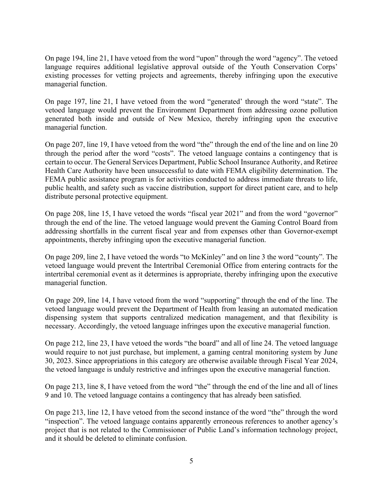On page 194, line 21, I have vetoed from the word "upon" through the word "agency". The vetoed language requires additional legislative approval outside of the Youth Conservation Corps' existing processes for vetting projects and agreements, thereby infringing upon the executive managerial function.

On page 197, line 21, I have vetoed from the word "generated' through the word "state". The vetoed language would prevent the Environment Department from addressing ozone pollution generated both inside and outside of New Mexico, thereby infringing upon the executive managerial function.

On page 207, line 19, I have vetoed from the word "the" through the end of the line and on line 20 through the period after the word "costs". The vetoed language contains a contingency that is certain to occur. The General Services Department, Public School Insurance Authority, and Retiree Health Care Authority have been unsuccessful to date with FEMA eligibility determination. The FEMA public assistance program is for activities conducted to address immediate threats to life, public health, and safety such as vaccine distribution, support for direct patient care, and to help distribute personal protective equipment.

On page 208, line 15, I have vetoed the words "fiscal year 2021" and from the word "governor" through the end of the line. The vetoed language would prevent the Gaming Control Board from addressing shortfalls in the current fiscal year and from expenses other than Governor-exempt appointments, thereby infringing upon the executive managerial function.

On page 209, line 2, I have vetoed the words "to McKinley" and on line 3 the word "county". The vetoed language would prevent the Intertribal Ceremonial Office from entering contracts for the intertribal ceremonial event as it determines is appropriate, thereby infringing upon the executive managerial function.

On page 209, line 14, I have vetoed from the word "supporting" through the end of the line. The vetoed language would prevent the Department of Health from leasing an automated medication dispensing system that supports centralized medication management, and that flexibility is necessary. Accordingly, the vetoed language infringes upon the executive managerial function.

On page 212, line 23, I have vetoed the words "the board" and all of line 24. The vetoed language would require to not just purchase, but implement, a gaming central monitoring system by June 30, 2023. Since appropriations in this category are otherwise available through Fiscal Year 2024, the vetoed language is unduly restrictive and infringes upon the executive managerial function.

On page 213, line 8, I have vetoed from the word "the" through the end of the line and all of lines 9 and 10. The vetoed language contains a contingency that has already been satisfied.

On page 213, line 12, I have vetoed from the second instance of the word "the" through the word "inspection". The vetoed language contains apparently erroneous references to another agency's project that is not related to the Commissioner of Public Land's information technology project, and it should be deleted to eliminate confusion.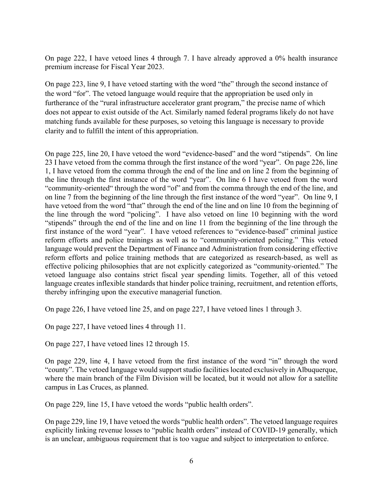On page 222, I have vetoed lines 4 through 7. I have already approved a 0% health insurance premium increase for Fiscal Year 2023.

On page 223, line 9, I have vetoed starting with the word "the" through the second instance of the word "for". The vetoed language would require that the appropriation be used only in furtherance of the "rural infrastructure accelerator grant program," the precise name of which does not appear to exist outside of the Act. Similarly named federal programs likely do not have matching funds available for these purposes, so vetoing this language is necessary to provide clarity and to fulfill the intent of this appropriation.

On page 225, line 20, I have vetoed the word "evidence-based" and the word "stipends". On line 23 I have vetoed from the comma through the first instance of the word "year". On page 226, line 1, I have vetoed from the comma through the end of the line and on line 2 from the beginning of the line through the first instance of the word "year". On line 6 I have vetoed from the word "community-oriented" through the word "of" and from the comma through the end of the line, and on line 7 from the beginning of the line through the first instance of the word "year". On line 9, I have vetoed from the word "that" through the end of the line and on line 10 from the beginning of the line through the word "policing". I have also vetoed on line 10 beginning with the word "stipends" through the end of the line and on line 11 from the beginning of the line through the first instance of the word "year". I have vetoed references to "evidence-based" criminal justice reform efforts and police trainings as well as to "community-oriented policing." This vetoed language would prevent the Department of Finance and Administration from considering effective reform efforts and police training methods that are categorized as research-based, as well as effective policing philosophies that are not explicitly categorized as "community-oriented." The vetoed language also contains strict fiscal year spending limits. Together, all of this vetoed language creates inflexible standards that hinder police training, recruitment, and retention efforts, thereby infringing upon the executive managerial function.

On page 226, I have vetoed line 25, and on page 227, I have vetoed lines 1 through 3.

On page 227, I have vetoed lines 4 through 11.

On page 227, I have vetoed lines 12 through 15.

On page 229, line 4, I have vetoed from the first instance of the word "in" through the word "county". The vetoed language would support studio facilities located exclusively in Albuquerque, where the main branch of the Film Division will be located, but it would not allow for a satellite campus in Las Cruces, as planned.

On page 229, line 15, I have vetoed the words "public health orders".

On page 229, line 19, I have vetoed the words "public health orders". The vetoed language requires explicitly linking revenue losses to "public health orders" instead of COVID-19 generally, which is an unclear, ambiguous requirement that is too vague and subject to interpretation to enforce.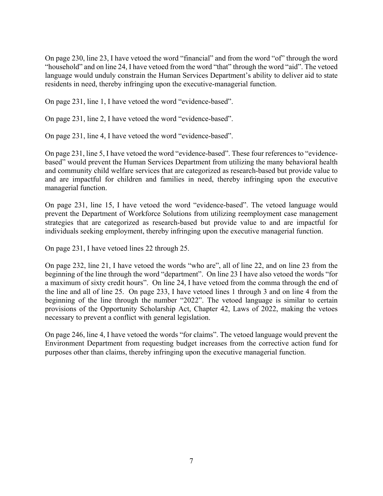On page 230, line 23, I have vetoed the word "financial" and from the word "of" through the word "household" and on line 24, I have vetoed from the word "that" through the word "aid". The vetoed language would unduly constrain the Human Services Department's ability to deliver aid to state residents in need, thereby infringing upon the executive-managerial function.

On page 231, line 1, I have vetoed the word "evidence-based".

On page 231, line 2, I have vetoed the word "evidence-based".

On page 231, line 4, I have vetoed the word "evidence-based".

On page 231, line 5, I have vetoed the word "evidence-based". These four references to "evidencebased" would prevent the Human Services Department from utilizing the many behavioral health and community child welfare services that are categorized as research-based but provide value to and are impactful for children and families in need, thereby infringing upon the executive managerial function.

On page 231, line 15, I have vetoed the word "evidence-based". The vetoed language would prevent the Department of Workforce Solutions from utilizing reemployment case management strategies that are categorized as research-based but provide value to and are impactful for individuals seeking employment, thereby infringing upon the executive managerial function.

On page 231, I have vetoed lines 22 through 25.

On page 232, line 21, I have vetoed the words "who are", all of line 22, and on line 23 from the beginning of the line through the word "department". On line 23 I have also vetoed the words "for a maximum of sixty credit hours". On line 24, I have vetoed from the comma through the end of the line and all of line 25. On page 233, I have vetoed lines 1 through 3 and on line 4 from the beginning of the line through the number "2022". The vetoed language is similar to certain provisions of the Opportunity Scholarship Act, Chapter 42, Laws of 2022, making the vetoes necessary to prevent a conflict with general legislation.

On page 246, line 4, I have vetoed the words "for claims". The vetoed language would prevent the Environment Department from requesting budget increases from the corrective action fund for purposes other than claims, thereby infringing upon the executive managerial function.